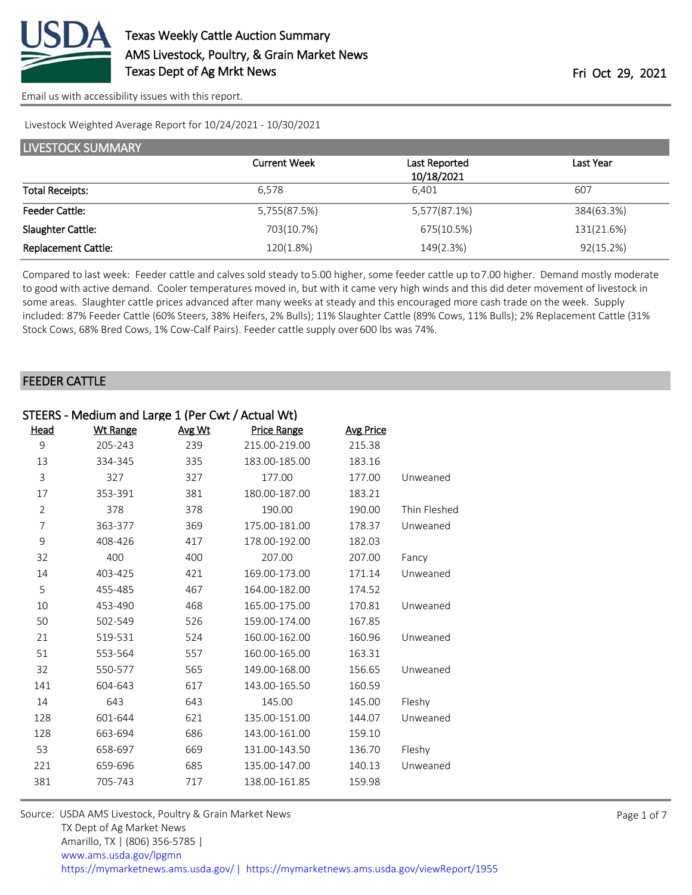

Livestock Weighted Average Report for 10/24/2021 - 10/30/2021

| <b>LIVESTOCK SUMMARY</b>   |                     |                             |            |  |  |  |  |
|----------------------------|---------------------|-----------------------------|------------|--|--|--|--|
|                            | <b>Current Week</b> | Last Reported<br>10/18/2021 | Last Year  |  |  |  |  |
| <b>Total Receipts:</b>     | 6.578               | 6.401                       | 607        |  |  |  |  |
| <b>Feeder Cattle:</b>      | 5,755(87.5%)        | 5,577(87.1%)                | 384(63.3%) |  |  |  |  |
| Slaughter Cattle:          | 703(10.7%)          | 675(10.5%)                  | 131(21.6%) |  |  |  |  |
| <b>Replacement Cattle:</b> | 120(1.8%)           | 149(2.3%)                   | 92(15.2%)  |  |  |  |  |

Compared to last week: Feeder cattle and calves sold steady to 5.00 higher, some feeder cattle up to 7.00 higher. Demand mostly moderate to good with active demand. Cooler temperatures moved in, but with it came very high winds and this did deter movement of livestock in some areas. Slaughter cattle prices advanced after many weeks at steady and this encouraged more cash trade on the week. Supply included: 87% Feeder Cattle (60% Steers, 38% Heifers, 2% Bulls); 11% Slaughter Cattle (89% Cows, 11% Bulls); 2% Replacement Cattle (31% Stock Cows, 68% Bred Cows, 1% Cow-Calf Pairs). Feeder cattle supply over 600 lbs was 74%.

#### FEEDER CATTLE

| STEERS - Medium and Large 1 (Per Cwt / Actual Wt) |                 |        |                    |                  |              |  |
|---------------------------------------------------|-----------------|--------|--------------------|------------------|--------------|--|
| Head                                              | <b>Wt Range</b> | Avg Wt | <b>Price Range</b> | <b>Avg Price</b> |              |  |
| 9                                                 | 205-243         | 239    | 215.00-219.00      | 215.38           |              |  |
| 13                                                | 334-345         | 335    | 183.00-185.00      | 183.16           |              |  |
| 3                                                 | 327             | 327    | 177.00             | 177.00           | Unweaned     |  |
| 17                                                | 353-391         | 381    | 180.00-187.00      | 183.21           |              |  |
| $\overline{2}$                                    | 378             | 378    | 190.00             | 190.00           | Thin Fleshed |  |
| 7                                                 | 363-377         | 369    | 175.00-181.00      | 178.37           | Unweaned     |  |
| 9                                                 | 408-426         | 417    | 178.00-192.00      | 182.03           |              |  |
| 32                                                | 400             | 400    | 207.00             | 207.00           | Fancy        |  |
| 14                                                | 403-425         | 421    | 169.00-173.00      | 171.14           | Unweaned     |  |
| 5                                                 | 455-485         | 467    | 164.00-182.00      | 174.52           |              |  |
| 10                                                | 453-490         | 468    | 165.00-175.00      | 170.81           | Unweaned     |  |
| 50                                                | 502-549         | 526    | 159.00-174.00      | 167.85           |              |  |
| 21                                                | 519-531         | 524    | 160.00-162.00      | 160.96           | Unweaned     |  |
| 51                                                | 553-564         | 557    | 160.00-165.00      | 163.31           |              |  |
| 32                                                | 550-577         | 565    | 149.00-168.00      | 156.65           | Unweaned     |  |
| 141                                               | 604-643         | 617    | 143.00-165.50      | 160.59           |              |  |
| 14                                                | 643             | 643    | 145.00             | 145.00           | Fleshy       |  |
| 128                                               | 601-644         | 621    | 135.00-151.00      | 144.07           | Unweaned     |  |
| 128                                               | 663-694         | 686    | 143.00-161.00      | 159.10           |              |  |
| 53                                                | 658-697         | 669    | 131.00-143.50      | 136.70           | Fleshy       |  |
| 221                                               | 659-696         | 685    | 135.00-147.00      | 140.13           | Unweaned     |  |
| 381                                               | 705-743         | 717    | 138.00-161.85      | 159.98           |              |  |
|                                                   |                 |        |                    |                  |              |  |

Source: USDA AMS Livestock, Poultry & Grain Market News TX Dept of Ag Market News Amarillo, TX | (806) 356-5785 | [www.ams.usda.gov/lpgmn](https://www.ams.usda.gov/market-news) <https://mymarketnews.ams.usda.gov/> [|](https://www.ams.usda.gov/market-news) <https://mymarketnews.ams.usda.gov/viewReport/1955>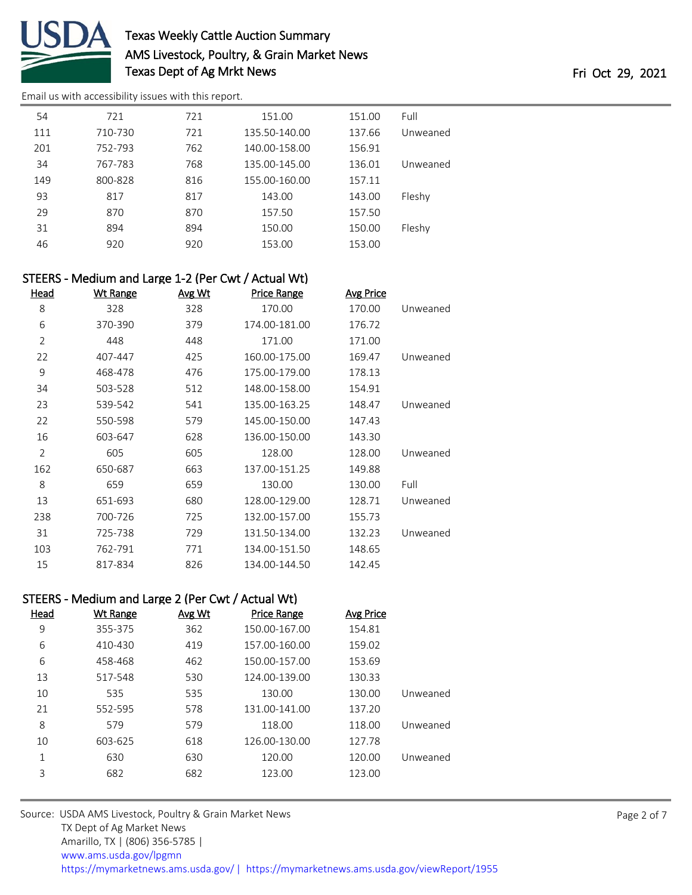

## Texas Weekly Cattle Auction Summary AMS Livestock, Poultry, & Grain Market News Texas Dept of Ag Mrkt News Texas Dept of Ag Mrkt News

[Email us with accessibility issues with this report.](mailto:mars@ams.usda.gov?subject=508%20issue)

| 54  | 721     | 721 | 151.00        | 151.00 | Full     |
|-----|---------|-----|---------------|--------|----------|
| 111 | 710-730 | 721 | 135.50-140.00 | 137.66 | Unweaned |
| 201 | 752-793 | 762 | 140.00-158.00 | 156.91 |          |
| 34  | 767-783 | 768 | 135.00-145.00 | 136.01 | Unweaned |
| 149 | 800-828 | 816 | 155.00-160.00 | 157.11 |          |
| 93  | 817     | 817 | 143.00        | 143.00 | Fleshy   |
| 29  | 870     | 870 | 157.50        | 157.50 |          |
| 31  | 894     | 894 | 150.00        | 150.00 | Fleshy   |
| 46  | 920     | 920 | 153.00        | 153.00 |          |
|     |         |     |               |        |          |

|          |                  |                    |        | STEERS - Medium and Large 1-2 (Per Cwt / Actual Wt) |                |
|----------|------------------|--------------------|--------|-----------------------------------------------------|----------------|
|          | <b>Avg Price</b> | <b>Price Range</b> | Avg Wt | <b>Wt Range</b>                                     | <u>Head</u>    |
| Unweaned | 170.00           | 170.00             | 328    | 328                                                 | 8              |
|          | 176.72           | 174.00-181.00      | 379    | 370-390                                             | 6              |
|          | 171.00           | 171.00             | 448    | 448                                                 | $\overline{2}$ |
| Unweaned | 169.47           | 160.00-175.00      | 425    | 407-447                                             | 22             |
|          | 178.13           | 175.00-179.00      | 476    | 468-478                                             | 9              |
|          | 154.91           | 148.00-158.00      | 512    | 503-528                                             | 34             |
| Unweaned | 148.47           | 135.00-163.25      | 541    | 539-542                                             | 23             |
|          | 147.43           | 145.00-150.00      | 579    | 550-598                                             | 22             |
|          | 143.30           | 136.00-150.00      | 628    | 603-647                                             | 16             |
| Unweaned | 128.00           | 128.00             | 605    | 605                                                 | $\overline{2}$ |
|          | 149.88           | 137.00-151.25      | 663    | 650-687                                             | 162            |
| Full     | 130.00           | 130.00             | 659    | 659                                                 | 8              |
| Unweaned | 128.71           | 128.00-129.00      | 680    | 651-693                                             | 13             |
|          | 155.73           | 132.00-157.00      | 725    | 700-726                                             | 238            |
| Unweaned | 132.23           | 131.50-134.00      | 729    | 725-738                                             | 31             |
|          | 148.65           | 134.00-151.50      | 771    | 762-791                                             | 103            |
|          | 142.45           | 134.00-144.50      | 826    | 817-834                                             | 15             |

### STEERS - Medium and Large 2 (Per Cwt / Actual Wt)

| Head | Wt Range | Avg Wt | <b>Price Range</b> | <b>Avg Price</b> |          |
|------|----------|--------|--------------------|------------------|----------|
| 9    | 355-375  | 362    | 150.00-167.00      | 154.81           |          |
| 6    | 410-430  | 419    | 157.00-160.00      | 159.02           |          |
| 6    | 458-468  | 462    | 150.00-157.00      | 153.69           |          |
| 13   | 517-548  | 530    | 124.00-139.00      | 130.33           |          |
| 10   | 535      | 535    | 130.00             | 130.00           | Unweaned |
| 21   | 552-595  | 578    | 131.00-141.00      | 137.20           |          |
| 8    | 579      | 579    | 118.00             | 118.00           | Unweaned |
| 10   | 603-625  | 618    | 126.00-130.00      | 127.78           |          |
| 1    | 630      | 630    | 120.00             | 120.00           | Unweaned |
| 3    | 682      | 682    | 123.00             | 123.00           |          |

Source: USDA AMS Livestock, Poultry & Grain Market News TX Dept of Ag Market News Amarillo, TX | (806) 356-5785 | [www.ams.usda.gov/lpgmn](https://www.ams.usda.gov/market-news) <https://mymarketnews.ams.usda.gov/> [|](https://www.ams.usda.gov/market-news) <https://mymarketnews.ams.usda.gov/viewReport/1955>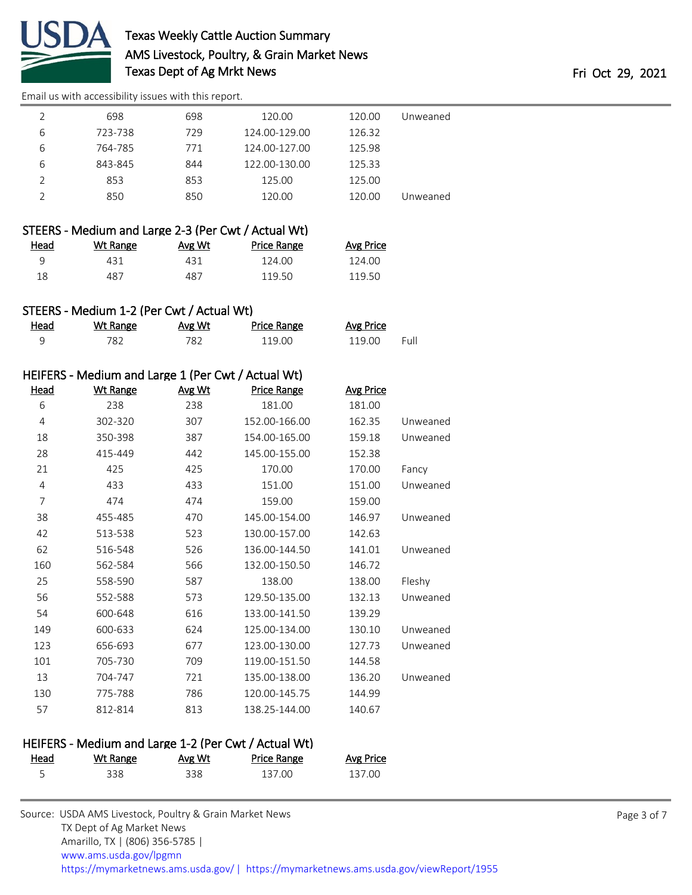

# Texas Weekly Cattle Auction Summary AMS Livestock, Poultry, & Grain Market News Texas Dept of Ag Mrkt News Texas Dept of Ag Mrkt News

[Email us with accessibility issues with this report.](mailto:mars@ams.usda.gov?subject=508%20issue)

|   | 698     | 698 | 120.00        | 120.00 | Unweaned |
|---|---------|-----|---------------|--------|----------|
| 6 | 723-738 | 729 | 124.00-129.00 | 126.32 |          |
| 6 | 764-785 | 771 | 124.00-127.00 | 125.98 |          |
| 6 | 843-845 | 844 | 122.00-130.00 | 125.33 |          |
|   | 853     | 853 | 125.00        | 125.00 |          |
|   | 850     | 850 | 120.00        | 120.00 | Unweaned |

| STEERS - Medium and Large 2-3 (Per Cwt / Actual Wt) |          |        |             |           |  |
|-----------------------------------------------------|----------|--------|-------------|-----------|--|
| Head                                                | Wt Range | Avg Wt | Price Range | Avg Price |  |
| Ч                                                   | 431      | 431    | 124.00      | 124.00    |  |

|  |  | STEERS - Medium 1-2 (Per Cwt / Actual Wt) |  |  |  |  |  |
|--|--|-------------------------------------------|--|--|--|--|--|
|--|--|-------------------------------------------|--|--|--|--|--|

| Head | Wt Range | Avg Wt | <b>Price Range</b> | Avg Price |      |
|------|----------|--------|--------------------|-----------|------|
|      | 782.     | 782    | 119.00             | 119.00    | Full |

487 487 119.50 119.50

### HEIFERS - Medium and Large 1 (Per Cwt / Actual Wt)

| <b>Head</b> | <b>Wt Range</b> | Avg Wt | <b>Price Range</b> | <b>Avg Price</b> |          |
|-------------|-----------------|--------|--------------------|------------------|----------|
| 6           | 238             | 238    | 181.00             | 181.00           |          |
| 4           | 302-320         | 307    | 152.00-166.00      | 162.35           | Unweaned |
| 18          | 350-398         | 387    | 154.00-165.00      | 159.18           | Unweaned |
| 28          | 415-449         | 442    | 145.00-155.00      | 152.38           |          |
| 21          | 425             | 425    | 170.00             | 170.00           | Fancy    |
| 4           | 433             | 433    | 151.00             | 151.00           | Unweaned |
| 7           | 474             | 474    | 159.00             | 159.00           |          |
| 38          | 455-485         | 470    | 145.00-154.00      | 146.97           | Unweaned |
| 42          | 513-538         | 523    | 130.00-157.00      | 142.63           |          |
| 62          | 516-548         | 526    | 136.00-144.50      | 141.01           | Unweaned |
| 160         | 562-584         | 566    | 132.00-150.50      | 146.72           |          |
| 25          | 558-590         | 587    | 138.00             | 138.00           | Fleshy   |
| 56          | 552-588         | 573    | 129.50-135.00      | 132.13           | Unweaned |
| 54          | 600-648         | 616    | 133.00-141.50      | 139.29           |          |
| 149         | 600-633         | 624    | 125.00-134.00      | 130.10           | Unweaned |
| 123         | 656-693         | 677    | 123.00-130.00      | 127.73           | Unweaned |
| 101         | 705-730         | 709    | 119.00-151.50      | 144.58           |          |
| 13          | 704-747         | 721    | 135.00-138.00      | 136.20           | Unweaned |
| 130         | 775-788         | 786    | 120.00-145.75      | 144.99           |          |
| 57          | 812-814         | 813    | 138.25-144.00      | 140.67           |          |

### HEIFERS - Medium and Large 1-2 (Per Cwt / Actual Wt)

| <b>Head</b> | Wt Range | Avg Wt | <b>Price Range</b> | <b>Avg Price</b> |
|-------------|----------|--------|--------------------|------------------|
|             | 338      | 338    | 137.00             | 137.00           |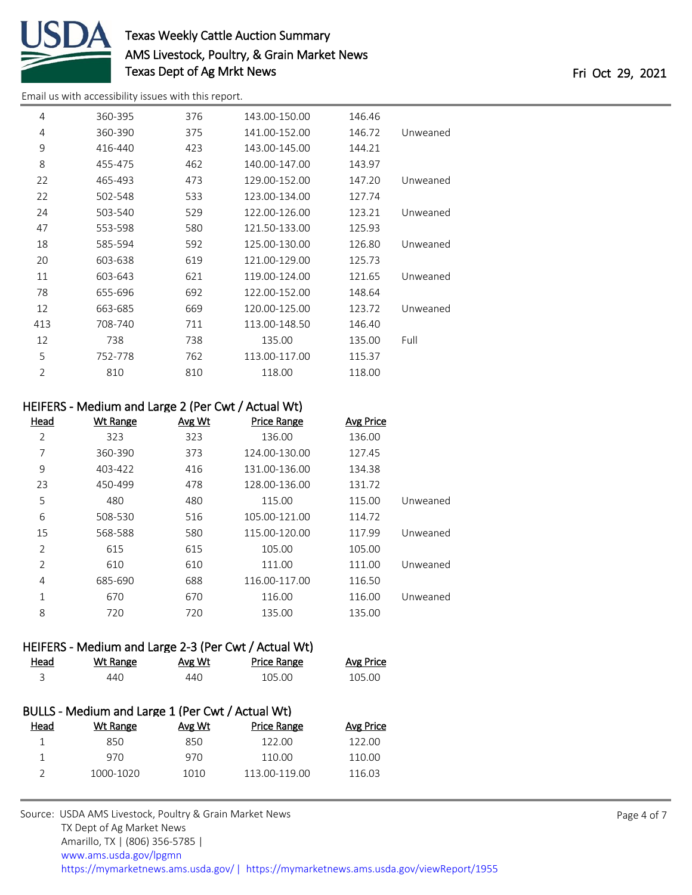

## Texas Weekly Cattle Auction Summary AMS Livestock, Poultry, & Grain Market News Texas Dept of Ag Mrkt News Texas Dept of Ag Mrkt News

[Email us with accessibility issues with this report.](mailto:mars@ams.usda.gov?subject=508%20issue)

| 4              | 360-395 | 376 | 143.00-150.00 | 146.46 |          |
|----------------|---------|-----|---------------|--------|----------|
| 4              | 360-390 | 375 | 141.00-152.00 | 146.72 | Unweaned |
| 9              | 416-440 | 423 | 143.00-145.00 | 144.21 |          |
| 8              | 455-475 | 462 | 140.00-147.00 | 143.97 |          |
| 22             | 465-493 | 473 | 129.00-152.00 | 147.20 | Unweaned |
| 22             | 502-548 | 533 | 123.00-134.00 | 127.74 |          |
| 24             | 503-540 | 529 | 122.00-126.00 | 123.21 | Unweaned |
| 47             | 553-598 | 580 | 121.50-133.00 | 125.93 |          |
| 18             | 585-594 | 592 | 125.00-130.00 | 126.80 | Unweaned |
| 20             | 603-638 | 619 | 121.00-129.00 | 125.73 |          |
| 11             | 603-643 | 621 | 119.00-124.00 | 121.65 | Unweaned |
| 78             | 655-696 | 692 | 122.00-152.00 | 148.64 |          |
| 12             | 663-685 | 669 | 120.00-125.00 | 123.72 | Unweaned |
| 413            | 708-740 | 711 | 113.00-148.50 | 146.40 |          |
| 12             | 738     | 738 | 135.00        | 135.00 | Full     |
| 5              | 752-778 | 762 | 113.00-117.00 | 115.37 |          |
| $\overline{2}$ | 810     | 810 | 118.00        | 118.00 |          |

#### HEIFERS - Medium and Large 2 (Per Cwt / Actual Wt)

| <b>Head</b>    | Wt Range | Avg Wt | <b>Price Range</b> | <b>Avg Price</b> |          |
|----------------|----------|--------|--------------------|------------------|----------|
| $\overline{2}$ | 323      | 323    | 136.00             | 136.00           |          |
| 7              | 360-390  | 373    | 124.00-130.00      | 127.45           |          |
| 9              | 403-422  | 416    | 131.00-136.00      | 134.38           |          |
| 23             | 450-499  | 478    | 128.00-136.00      | 131.72           |          |
| 5              | 480      | 480    | 115.00             | 115.00           | Unweaned |
| 6              | 508-530  | 516    | 105.00-121.00      | 114.72           |          |
| 15             | 568-588  | 580    | 115.00-120.00      | 117.99           | Unweaned |
| $\overline{2}$ | 615      | 615    | 105.00             | 105.00           |          |
| $\overline{2}$ | 610      | 610    | 111.00             | 111.00           | Unweaned |
| 4              | 685-690  | 688    | 116.00-117.00      | 116.50           |          |
| 1              | 670      | 670    | 116.00             | 116.00           | Unweaned |
| 8              | 720      | 720    | 135.00             | 135.00           |          |

### HEIFERS - Medium and Large 2-3 (Per Cwt / Actual Wt)

| Head | Wt Range | Avg Wt | <b>Price Range</b> | <b>Avg Price</b> |
|------|----------|--------|--------------------|------------------|
|      | 440      | 440    | 105.00             | 105.00           |

|      | BULLS - Medium and Large 1 (Per Cwt / Actual Wt) |        |                    |           |
|------|--------------------------------------------------|--------|--------------------|-----------|
| Head | Wt Range                                         | Avg Wt | <b>Price Range</b> | Avg Price |
|      | 850                                              | 850    | 122.00             | 122.00    |
|      | 970                                              | 970    | 110.00             | 110.00    |
|      | 1000-1020                                        | 1010   | 113.00-119.00      | 116.03    |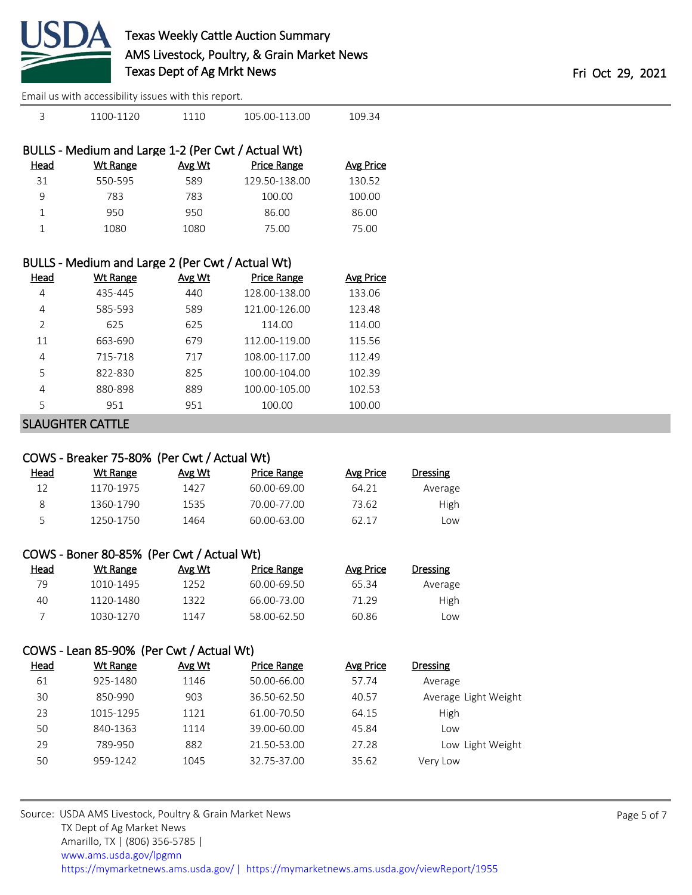

| 3              | 1100-1120                                          | 1110   | 105.00-113.00      | 109.34           |
|----------------|----------------------------------------------------|--------|--------------------|------------------|
|                | BULLS - Medium and Large 1-2 (Per Cwt / Actual Wt) |        |                    |                  |
| Head           | <b>Wt Range</b>                                    | Avg Wt | <b>Price Range</b> | <b>Avg Price</b> |
| 31             | 550-595                                            | 589    | 129.50-138.00      | 130.52           |
| 9              | 783                                                | 783    | 100.00             | 100.00           |
| 1              | 950                                                | 950    | 86.00              | 86.00            |
| 1              | 1080                                               | 1080   | 75.00              | 75.00            |
|                |                                                    |        |                    |                  |
|                | BULLS - Medium and Large 2 (Per Cwt / Actual Wt)   |        |                    |                  |
| <b>Head</b>    | Wt Range                                           | Avg Wt | Price Range        | Avg Price        |
| 4              | 435-445                                            | 440    | 128.00-138.00      | 133.06           |
| 4              | 585-593                                            | 589    | 121.00-126.00      | 123.48           |
| $\overline{2}$ | 625                                                | 625    | 114.00             | 114.00           |
| 11             | 663-690                                            | 679    | 112.00-119.00      | 115.56           |
| 4              | 715-718                                            | 717    | 108.00-117.00      | 112.49           |

|   | 822-830 | 825 | 100.00-104.00 | 102.39 |
|---|---------|-----|---------------|--------|
| Δ | 880-898 | 889 | 100.00-105.00 | 102.53 |
|   | 951     | 951 | 100.00        | 100.00 |

SLAUGHTER CATTLE

### COWS - Breaker 75-80% (Per Cwt / Actual Wt)

| <u>Head</u> | Wt Range  | Avg Wt | Price Range | Avg Price | <b>Dressing</b> |
|-------------|-----------|--------|-------------|-----------|-----------------|
| 12          | 1170-1975 | 1427   | 60.00-69.00 | 64.21     | Average         |
|             | 1360-1790 | 1535   | 70.00-77.00 | 73.62     | High            |
| ∽           | 1250-1750 | 1464   | 60.00-63.00 | 62.17     | Low             |

| COWS - Boner 80-85% (Per Cwt / Actual Wt) |  |  |
|-------------------------------------------|--|--|
|-------------------------------------------|--|--|

| Head | Wt Range  | Avg Wt | Price Range | Avg Price | Dressing |
|------|-----------|--------|-------------|-----------|----------|
| 79   | 1010-1495 | 1252   | 60.00-69.50 | 65.34     | Average  |
| 40   | 1120-1480 | 1322   | 66.00-73.00 | 71 29     | High     |
|      | 1030-1270 | 1147   | 58.00-62.50 | 60.86     | Low      |

### COWS - Lean 85-90% (Per Cwt / Actual Wt)

| Head | Wt Range  | Avg Wt | Price Range | Avg Price | Dressing             |
|------|-----------|--------|-------------|-----------|----------------------|
| 61   | 925-1480  | 1146   | 50.00-66.00 | 57.74     | Average              |
| 30   | 850-990   | 903    | 36.50-62.50 | 40.57     | Average Light Weight |
| 23   | 1015-1295 | 1121   | 61.00-70.50 | 64.15     | High                 |
| 50   | 840-1363  | 1114   | 39.00-60.00 | 45.84     | Low                  |
| 29   | 789-950   | 882    | 21.50-53.00 | 27.28     | Low Light Weight     |
| 50   | 959-1242  | 1045   | 32.75-37.00 | 35.62     | Very Low             |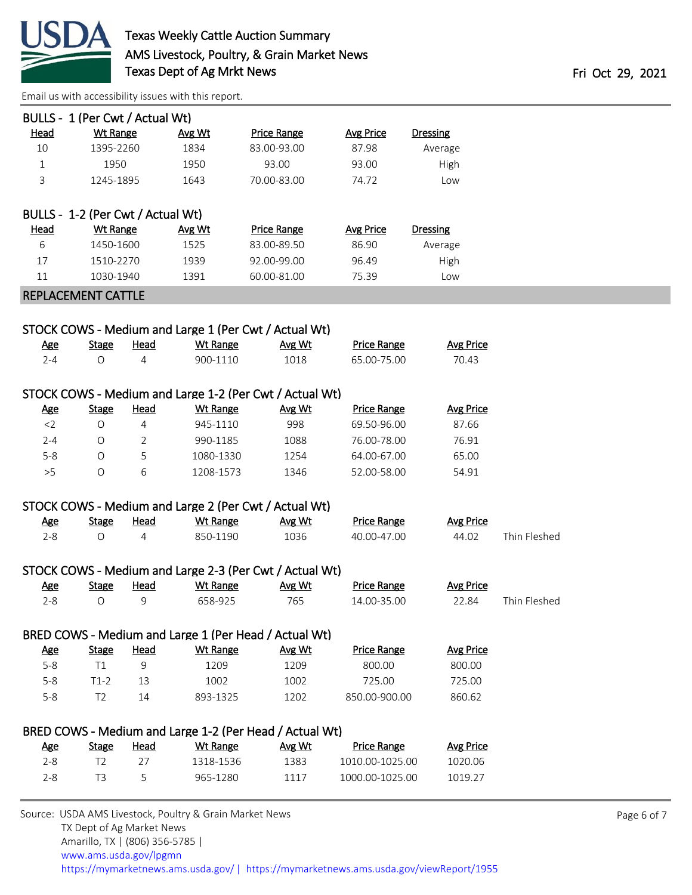

|              | BULLS - 1 (Per Cwt / Actual Wt)   |                |                                                         |                    |                    |                  |              |
|--------------|-----------------------------------|----------------|---------------------------------------------------------|--------------------|--------------------|------------------|--------------|
| <b>Head</b>  | <b>Wt Range</b>                   |                | Avg Wt                                                  | <b>Price Range</b> | <b>Avg Price</b>   | <b>Dressing</b>  |              |
| 10           | 1395-2260                         |                | 1834                                                    | 83.00-93.00        | 87.98              | Average          |              |
| $\mathbf{1}$ | 1950                              |                | 1950                                                    | 93.00              | 93.00              | High             |              |
| 3            | 1245-1895                         |                | 1643                                                    | 70.00-83.00        | 74.72              | Low              |              |
|              |                                   |                |                                                         |                    |                    |                  |              |
|              | BULLS - 1-2 (Per Cwt / Actual Wt) |                |                                                         |                    |                    |                  |              |
| <b>Head</b>  | <b>Wt Range</b>                   |                | Avg Wt                                                  | <b>Price Range</b> | <b>Avg Price</b>   | <b>Dressing</b>  |              |
| 6            | 1450-1600                         |                | 1525                                                    | 83.00-89.50        | 86.90              | Average          |              |
| 17           | 1510-2270                         |                | 1939                                                    | 92.00-99.00        | 96.49              | High             |              |
| 11           | 1030-1940                         |                | 1391                                                    | 60.00-81.00        | 75.39              | Low              |              |
|              | <b>REPLACEMENT CATTLE</b>         |                |                                                         |                    |                    |                  |              |
|              |                                   |                |                                                         |                    |                    |                  |              |
|              |                                   |                | STOCK COWS - Medium and Large 1 (Per Cwt / Actual Wt)   |                    |                    |                  |              |
| <u>Age</u>   | <b>Stage</b>                      | <b>Head</b>    | <b>Wt Range</b>                                         | Avg Wt             | <b>Price Range</b> | <b>Avg Price</b> |              |
| $2 - 4$      | $\bigcirc$                        | 4              | 900-1110                                                | 1018               | 65.00-75.00        | 70.43            |              |
|              |                                   |                |                                                         |                    |                    |                  |              |
|              |                                   |                | STOCK COWS - Medium and Large 1-2 (Per Cwt / Actual Wt) |                    |                    |                  |              |
| <b>Age</b>   | <b>Stage</b>                      | <b>Head</b>    | <b>Wt Range</b>                                         | Avg Wt             | <b>Price Range</b> | <b>Avg Price</b> |              |
| $<$ 2        | $\bigcirc$                        | $\overline{4}$ | 945-1110                                                | 998                | 69.50-96.00        | 87.66            |              |
| $2 - 4$      | O                                 | 2              | 990-1185                                                | 1088               | 76.00-78.00        | 76.91            |              |
| $5 - 8$      | $\circ$                           | 5              | 1080-1330                                               | 1254               | 64.00-67.00        | 65.00            |              |
| >5           | $\circ$                           | 6              | 1208-1573                                               | 1346               | 52.00-58.00        | 54.91            |              |
|              |                                   |                |                                                         |                    |                    |                  |              |
|              |                                   |                | STOCK COWS - Medium and Large 2 (Per Cwt / Actual Wt)   |                    |                    |                  |              |
| <u>Age</u>   | <b>Stage</b>                      | Head           | <b>Wt Range</b>                                         | Avg Wt             | <b>Price Range</b> | <b>Avg Price</b> |              |
| $2 - 8$      | $\bigcirc$                        | 4              | 850-1190                                                | 1036               | 40.00-47.00        | 44.02            | Thin Fleshed |
|              |                                   |                |                                                         |                    |                    |                  |              |
|              |                                   |                | STOCK COWS - Medium and Large 2-3 (Per Cwt / Actual Wt) |                    |                    |                  |              |
| <u>Age</u>   | <b>Stage</b>                      | <b>Head</b>    | <b>Wt Range</b>                                         | Avg Wt             | <b>Price Range</b> | <b>Avg Price</b> |              |
| $2 - 8$      | $\bigcirc$                        | 9              | 658-925                                                 | 765                | 14.00-35.00        | 22.84            | Thin Fleshed |
|              |                                   |                |                                                         |                    |                    |                  |              |
|              |                                   |                | BRED COWS - Medium and Large 1 (Per Head / Actual Wt)   |                    |                    |                  |              |
| <b>Age</b>   | <b>Stage</b>                      | <b>Head</b>    | <b>Wt Range</b>                                         | Avg Wt             | <b>Price Range</b> | <b>Avg Price</b> |              |
| $5-8$        | T1                                | 9              | 1209                                                    | 1209               | 800.00             | 800.00           |              |
| $5-8$        | $T1-2$                            | 13             | 1002                                                    | 1002               | 725.00             | 725.00           |              |
| $5 - 8$      | T <sub>2</sub>                    | 14             | 893-1325                                                | 1202               | 850.00-900.00      | 860.62           |              |
|              |                                   |                |                                                         |                    |                    |                  |              |
|              |                                   |                | BRED COWS - Medium and Large 1-2 (Per Head / Actual Wt) |                    |                    |                  |              |
| <u>Age</u>   | <b>Stage</b>                      | <b>Head</b>    | <b>Wt Range</b>                                         | Avg Wt             | <b>Price Range</b> | <b>Avg Price</b> |              |
| $2 - 8$      | T <sub>2</sub>                    | 27             | 1318-1536                                               | 1383               | 1010.00-1025.00    | 1020.06          |              |
| $2 - 8$      | T <sub>3</sub>                    | 5              | 965-1280                                                | 1117               | 1000.00-1025.00    | 1019.27          |              |
|              |                                   |                |                                                         |                    |                    |                  |              |